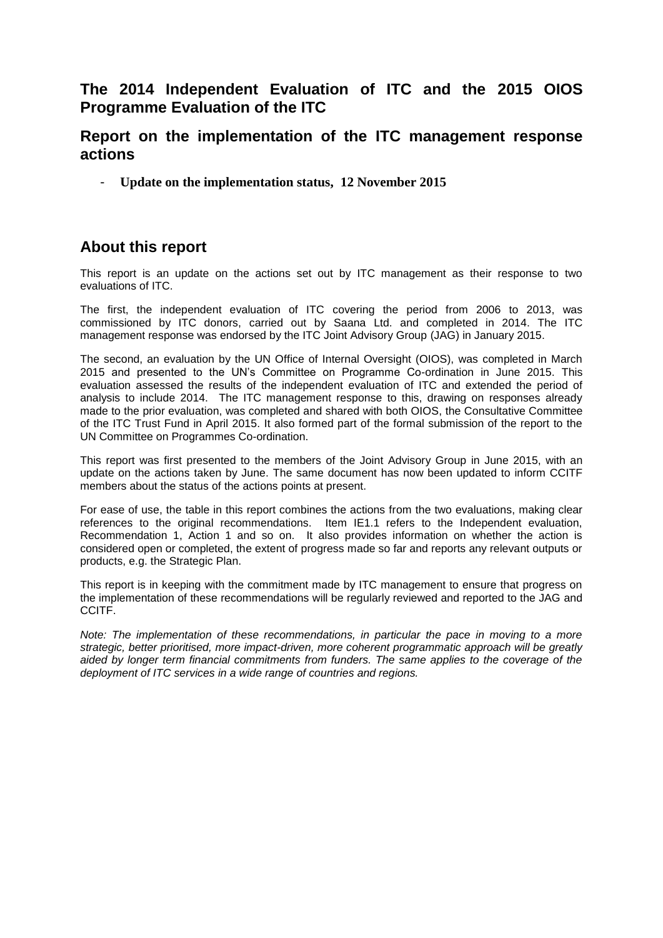## **The 2014 Independent Evaluation of ITC and the 2015 OIOS Programme Evaluation of the ITC**

## **Report on the implementation of the ITC management response actions**

- **Update on the implementation status, 12 November 2015**

# **About this report**

This report is an update on the actions set out by ITC management as their response to two evaluations of ITC.

The first, the independent evaluation of ITC covering the period from 2006 to 2013, was commissioned by ITC donors, carried out by Saana Ltd. and completed in 2014. The ITC management response was endorsed by the ITC Joint Advisory Group (JAG) in January 2015.

The second, an evaluation by the UN Office of Internal Oversight (OIOS), was completed in March 2015 and presented to the UN's Committee on Programme Co-ordination in June 2015. This evaluation assessed the results of the independent evaluation of ITC and extended the period of analysis to include 2014. The ITC management response to this, drawing on responses already made to the prior evaluation, was completed and shared with both OIOS, the Consultative Committee of the ITC Trust Fund in April 2015. It also formed part of the formal submission of the report to the UN Committee on Programmes Co-ordination.

This report was first presented to the members of the Joint Advisory Group in June 2015, with an update on the actions taken by June. The same document has now been updated to inform CCITF members about the status of the actions points at present.

For ease of use, the table in this report combines the actions from the two evaluations, making clear references to the original recommendations. Item IE1.1 refers to the Independent evaluation, Recommendation 1, Action 1 and so on. It also provides information on whether the action is considered open or completed, the extent of progress made so far and reports any relevant outputs or products, e.g. the Strategic Plan.

This report is in keeping with the commitment made by ITC management to ensure that progress on the implementation of these recommendations will be regularly reviewed and reported to the JAG and CCITF.

*Note: The implementation of these recommendations, in particular the pace in moving to a more strategic, better prioritised, more impact-driven, more coherent programmatic approach will be greatly aided by longer term financial commitments from funders. The same applies to the coverage of the deployment of ITC services in a wide range of countries and regions.*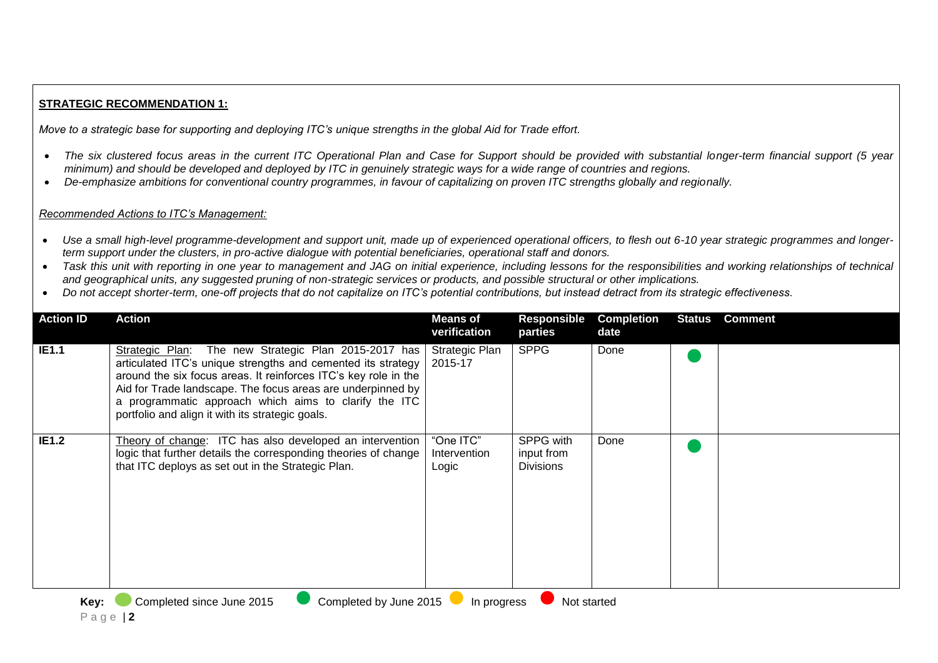## **STRATEGIC RECOMMENDATION 1:**

*Move to a strategic base for supporting and deploying ITC's unique strengths in the global Aid for Trade effort.*

- The six clustered focus areas in the current ITC Operational Plan and Case for Support should be provided with substantial longer-term financial support (5 year *minimum) and should be developed and deployed by ITC in genuinely strategic ways for a wide range of countries and regions.*
- *De-emphasize ambitions for conventional country programmes, in favour of capitalizing on proven ITC strengths globally and regionally.*

#### *Recommended Actions to ITC's Management:*

- *Use a small high-level programme-development and support unit, made up of experienced operational officers, to flesh out 6-10 year strategic programmes and longerterm support under the clusters, in pro-active dialogue with potential beneficiaries, operational staff and donors.*
- *Task this unit with reporting in one year to management and JAG on initial experience, including lessons for the responsibilities and working relationships of technical and geographical units, any suggested pruning of non-strategic services or products, and possible structural or other implications.*
- *Do not accept shorter-term, one-off projects that do not capitalize on ITC's potential contributions, but instead detract from its strategic effectiveness.*

| <b>Action ID</b> | Action                                                                                                                                                                                                                                                                                                                                                              | <b>Means of</b><br>verification    | Responsible<br>parties                      | <b>Completion</b><br>date | <b>Status</b> | <b>Comment</b> |
|------------------|---------------------------------------------------------------------------------------------------------------------------------------------------------------------------------------------------------------------------------------------------------------------------------------------------------------------------------------------------------------------|------------------------------------|---------------------------------------------|---------------------------|---------------|----------------|
| <b>IE1.1</b>     | Strategic Plan: The new Strategic Plan 2015-2017 has<br>articulated ITC's unique strengths and cemented its strategy<br>around the six focus areas. It reinforces ITC's key role in the<br>Aid for Trade landscape. The focus areas are underpinned by<br>a programmatic approach which aims to clarify the ITC<br>portfolio and align it with its strategic goals. | <b>Strategic Plan</b><br>2015-17   | <b>SPPG</b>                                 | Done                      |               |                |
| <b>IE1.2</b>     | Theory of change: ITC has also developed an intervention<br>logic that further details the corresponding theories of change<br>that ITC deploys as set out in the Strategic Plan.                                                                                                                                                                                   | "One ITC"<br>Intervention<br>Logic | SPPG with<br>input from<br><b>Divisions</b> | Done                      |               |                |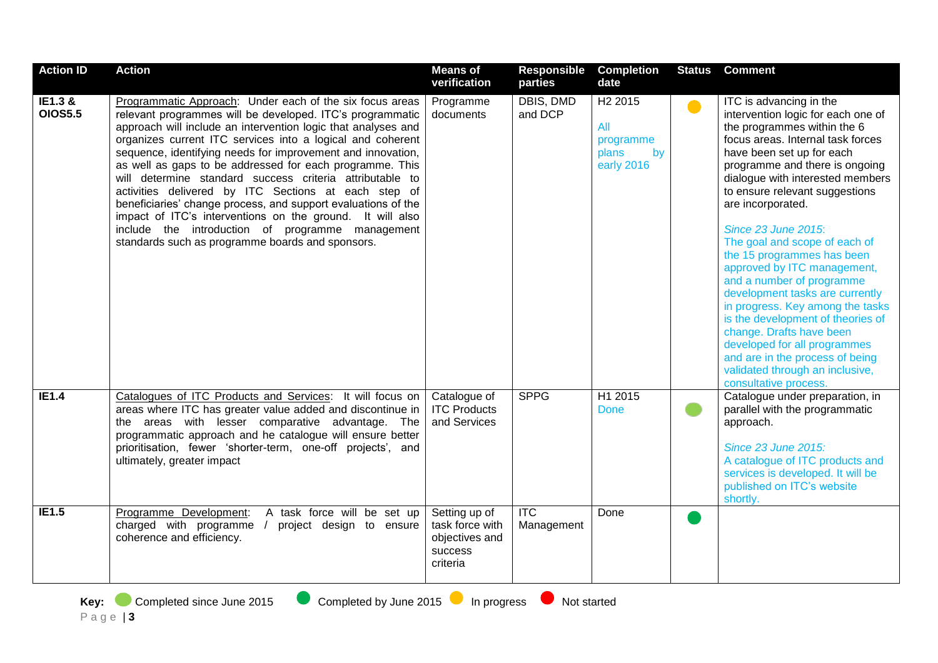| <b>Action ID</b>          | <b>Action</b>                                                                                                                                                                                                                                                                                                                                                                                                                                                                                                                                                                                                                                                                                                                             | <b>Means of</b><br>verification                                           | <b>Responsible</b><br>parties | <b>Completion</b><br>date                                            | <b>Status</b> | <b>Comment</b>                                                                                                                                                                                                                                                                                                                                                                                                                                                                                                                                                                                                                                                                                                              |
|---------------------------|-------------------------------------------------------------------------------------------------------------------------------------------------------------------------------------------------------------------------------------------------------------------------------------------------------------------------------------------------------------------------------------------------------------------------------------------------------------------------------------------------------------------------------------------------------------------------------------------------------------------------------------------------------------------------------------------------------------------------------------------|---------------------------------------------------------------------------|-------------------------------|----------------------------------------------------------------------|---------------|-----------------------------------------------------------------------------------------------------------------------------------------------------------------------------------------------------------------------------------------------------------------------------------------------------------------------------------------------------------------------------------------------------------------------------------------------------------------------------------------------------------------------------------------------------------------------------------------------------------------------------------------------------------------------------------------------------------------------------|
| IE1.3 &<br><b>OIOS5.5</b> | Programmatic Approach: Under each of the six focus areas<br>relevant programmes will be developed. ITC's programmatic<br>approach will include an intervention logic that analyses and<br>organizes current ITC services into a logical and coherent<br>sequence, identifying needs for improvement and innovation,<br>as well as gaps to be addressed for each programme. This<br>will determine standard success criteria attributable to<br>activities delivered by ITC Sections at each step of<br>beneficiaries' change process, and support evaluations of the<br>impact of ITC's interventions on the ground. It will also<br>include the introduction of programme management<br>standards such as programme boards and sponsors. | Programme<br>documents                                                    | DBIS, DMD<br>and DCP          | H <sub>2</sub> 2015<br>All<br>programme<br>plans<br>by<br>early 2016 | $\bullet$     | ITC is advancing in the<br>intervention logic for each one of<br>the programmes within the 6<br>focus areas. Internal task forces<br>have been set up for each<br>programme and there is ongoing<br>dialogue with interested members<br>to ensure relevant suggestions<br>are incorporated.<br><b>Since 23 June 2015:</b><br>The goal and scope of each of<br>the 15 programmes has been<br>approved by ITC management,<br>and a number of programme<br>development tasks are currently<br>in progress. Key among the tasks<br>is the development of theories of<br>change. Drafts have been<br>developed for all programmes<br>and are in the process of being<br>validated through an inclusive,<br>consultative process. |
| IE1.4                     | Catalogues of ITC Products and Services: It will focus on<br>areas where ITC has greater value added and discontinue in<br>the areas with lesser comparative advantage. The<br>programmatic approach and he catalogue will ensure better<br>prioritisation, fewer 'shorter-term, one-off projects', and<br>ultimately, greater impact                                                                                                                                                                                                                                                                                                                                                                                                     | Catalogue of<br><b>ITC Products</b><br>and Services                       | <b>SPPG</b>                   | H1 2015<br><b>Done</b>                                               |               | Catalogue under preparation, in<br>parallel with the programmatic<br>approach.<br><b>Since 23 June 2015:</b><br>A catalogue of ITC products and<br>services is developed. It will be<br>published on ITC's website<br>shortly.                                                                                                                                                                                                                                                                                                                                                                                                                                                                                              |
| <b>IE1.5</b>              | A task force will be set up<br>Programme Development:<br>charged with programme<br>project design to ensure<br>coherence and efficiency.                                                                                                                                                                                                                                                                                                                                                                                                                                                                                                                                                                                                  | Setting up of<br>task force with<br>objectives and<br>success<br>criteria | <b>ITC</b><br>Management      | Done                                                                 |               |                                                                                                                                                                                                                                                                                                                                                                                                                                                                                                                                                                                                                                                                                                                             |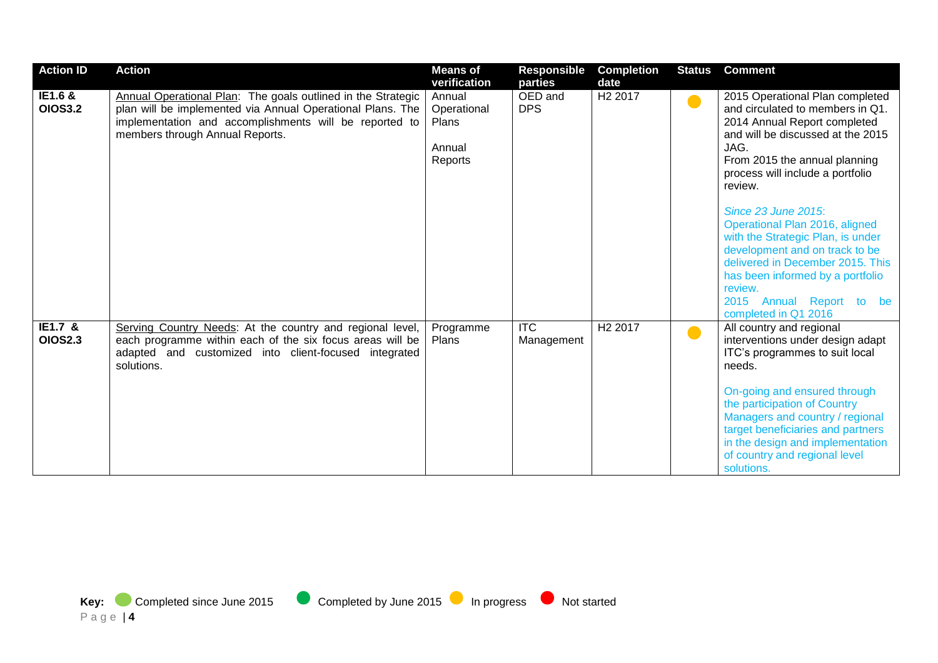| <b>Action ID</b>          | <b>Action</b>                                                                                                                                                                                                           | <b>Means of</b><br>verification                            | <b>Responsible</b><br>parties | <b>Completion</b><br>date | <b>Status</b>  | <b>Comment</b>                                                                                                                                                                                                                                                                                                                                                                                                                                                                                          |
|---------------------------|-------------------------------------------------------------------------------------------------------------------------------------------------------------------------------------------------------------------------|------------------------------------------------------------|-------------------------------|---------------------------|----------------|---------------------------------------------------------------------------------------------------------------------------------------------------------------------------------------------------------------------------------------------------------------------------------------------------------------------------------------------------------------------------------------------------------------------------------------------------------------------------------------------------------|
| IE1.6 &<br><b>OIOS3.2</b> | Annual Operational Plan: The goals outlined in the Strategic<br>plan will be implemented via Annual Operational Plans. The<br>implementation and accomplishments will be reported to<br>members through Annual Reports. | Annual<br>Operational<br><b>Plans</b><br>Annual<br>Reports | OED and<br><b>DPS</b>         | H <sub>2</sub> 2017       | <b>D</b>       | 2015 Operational Plan completed<br>and circulated to members in Q1.<br>2014 Annual Report completed<br>and will be discussed at the 2015<br>JAG.<br>From 2015 the annual planning<br>process will include a portfolio<br>review.<br>Since 23 June 2015:<br>Operational Plan 2016, aligned<br>with the Strategic Plan, is under<br>development and on track to be<br>delivered in December 2015. This<br>has been informed by a portfolio<br>review.<br>2015 Annual Report to be<br>completed in Q1 2016 |
| IE1.7 &<br><b>OIOS2.3</b> | Serving Country Needs: At the country and regional level,<br>each programme within each of the six focus areas will be<br>adapted and customized into client-focused integrated<br>solutions.                           | Programme<br>Plans                                         | <b>ITC</b><br>Management      | H <sub>2</sub> 2017       | $\blacksquare$ | All country and regional<br>interventions under design adapt<br>ITC's programmes to suit local<br>needs.<br>On-going and ensured through<br>the participation of Country<br>Managers and country / regional<br>target beneficiaries and partners<br>in the design and implementation<br>of country and regional level<br>solutions.                                                                                                                                                                     |

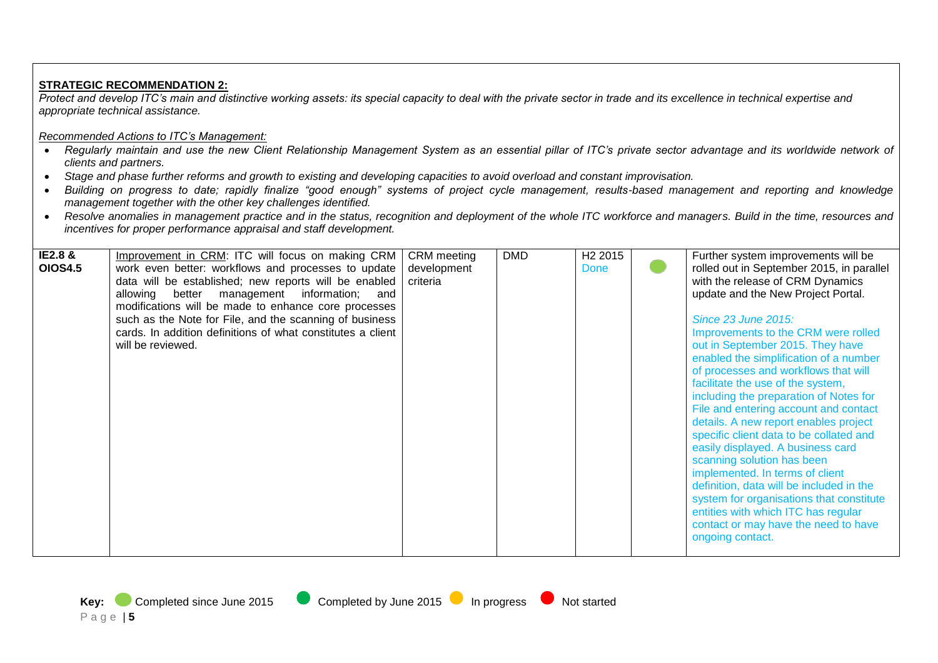## **STRATEGIC RECOMMENDATION 2:**

*Protect and develop ITC's main and distinctive working assets: its special capacity to deal with the private sector in trade and its excellence in technical expertise and appropriate technical assistance.*

### *Recommended Actions to ITC's Management:*

- *Regularly maintain and use the new Client Relationship Management System as an essential pillar of ITC's private sector advantage and its worldwide network of clients and partners.*
- *Stage and phase further reforms and growth to existing and developing capacities to avoid overload and constant improvisation.*
- *Building on progress to date; rapidly finalize "good enough" systems of project cycle management, results-based management and reporting and knowledge management together with the other key challenges identified.*
- Resolve anomalies in management practice and in the status, recognition and deployment of the whole ITC workforce and managers. Build in the time, resources and *incentives for proper performance appraisal and staff development.*

| IE2.8 &        | Improvement in CRM: ITC will focus on making CRM            | <b>CRM</b> meeting | <b>DMD</b> | H <sub>2</sub> 2015 | Further system improvements will be       |
|----------------|-------------------------------------------------------------|--------------------|------------|---------------------|-------------------------------------------|
| <b>OIOS4.5</b> | work even better: workflows and processes to update         | development        |            | Done                | rolled out in September 2015, in parallel |
|                | data will be established; new reports will be enabled       | criteria           |            |                     | with the release of CRM Dynamics          |
|                | management information;<br>allowing<br>better<br>and        |                    |            |                     | update and the New Project Portal.        |
|                | modifications will be made to enhance core processes        |                    |            |                     |                                           |
|                | such as the Note for File, and the scanning of business     |                    |            |                     | Since 23 June 2015:                       |
|                | cards. In addition definitions of what constitutes a client |                    |            |                     | Improvements to the CRM were rolled       |
|                | will be reviewed.                                           |                    |            |                     | out in September 2015. They have          |
|                |                                                             |                    |            |                     | enabled the simplification of a number    |
|                |                                                             |                    |            |                     | of processes and workflows that will      |
|                |                                                             |                    |            |                     | facilitate the use of the system,         |
|                |                                                             |                    |            |                     | including the preparation of Notes for    |
|                |                                                             |                    |            |                     | File and entering account and contact     |
|                |                                                             |                    |            |                     | details. A new report enables project     |
|                |                                                             |                    |            |                     | specific client data to be collated and   |
|                |                                                             |                    |            |                     | easily displayed. A business card         |
|                |                                                             |                    |            |                     | scanning solution has been                |
|                |                                                             |                    |            |                     | implemented. In terms of client           |
|                |                                                             |                    |            |                     | definition, data will be included in the  |
|                |                                                             |                    |            |                     | system for organisations that constitute  |
|                |                                                             |                    |            |                     | entities with which ITC has regular       |
|                |                                                             |                    |            |                     | contact or may have the need to have      |
|                |                                                             |                    |            |                     | ongoing contact.                          |
|                |                                                             |                    |            |                     |                                           |

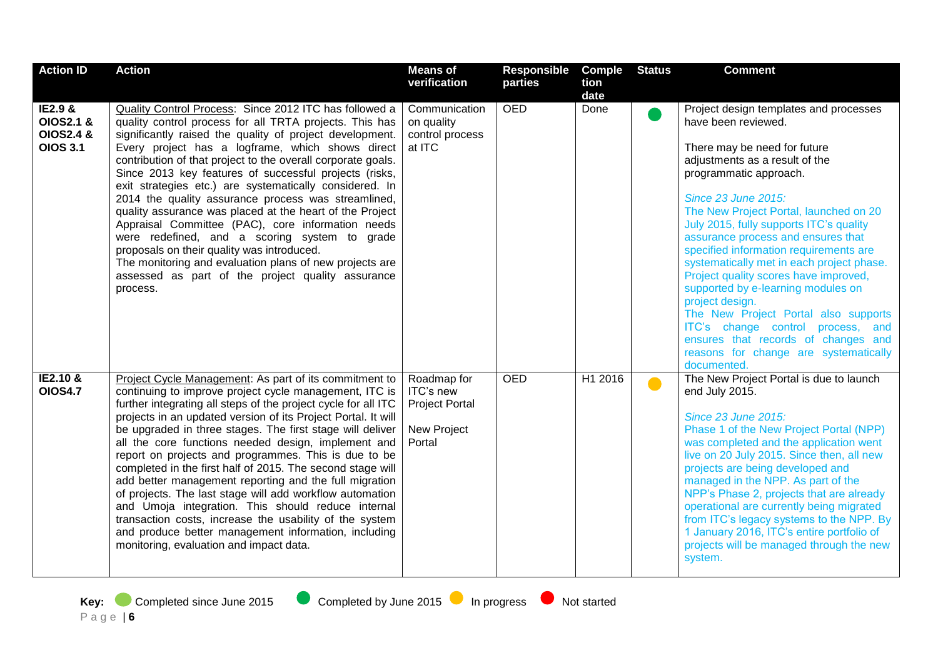| <b>Action ID</b>                                                           | <b>Action</b>                                                                                                                                                                                                                                                                                                                                                                                                                                                                                                                                                                                                                                                                                                                                                                                                                           | <b>Means of</b>                                                            | <b>Responsible</b> | <b>Comple</b> | <b>Status</b> | <b>Comment</b>                                                                                                                                                                                                                                                                                                                                                                                                                                                                                                                                                                                                                                                                   |
|----------------------------------------------------------------------------|-----------------------------------------------------------------------------------------------------------------------------------------------------------------------------------------------------------------------------------------------------------------------------------------------------------------------------------------------------------------------------------------------------------------------------------------------------------------------------------------------------------------------------------------------------------------------------------------------------------------------------------------------------------------------------------------------------------------------------------------------------------------------------------------------------------------------------------------|----------------------------------------------------------------------------|--------------------|---------------|---------------|----------------------------------------------------------------------------------------------------------------------------------------------------------------------------------------------------------------------------------------------------------------------------------------------------------------------------------------------------------------------------------------------------------------------------------------------------------------------------------------------------------------------------------------------------------------------------------------------------------------------------------------------------------------------------------|
|                                                                            |                                                                                                                                                                                                                                                                                                                                                                                                                                                                                                                                                                                                                                                                                                                                                                                                                                         | verification                                                               | parties            | tion<br>date  |               |                                                                                                                                                                                                                                                                                                                                                                                                                                                                                                                                                                                                                                                                                  |
| IE2.9 &<br><b>OIOS2.1 &amp;</b><br><b>OIOS2.4 &amp;</b><br><b>OIOS 3.1</b> | Quality Control Process: Since 2012 ITC has followed a<br>quality control process for all TRTA projects. This has<br>significantly raised the quality of project development.<br>Every project has a logframe, which shows direct<br>contribution of that project to the overall corporate goals.<br>Since 2013 key features of successful projects (risks,<br>exit strategies etc.) are systematically considered. In<br>2014 the quality assurance process was streamlined,<br>quality assurance was placed at the heart of the Project<br>Appraisal Committee (PAC), core information needs<br>were redefined, and a scoring system to grade<br>proposals on their quality was introduced.<br>The monitoring and evaluation plans of new projects are<br>assessed as part of the project quality assurance<br>process.               | Communication<br>on quality<br>control process<br>at ITC                   | <b>OED</b>         | Done          |               | Project design templates and processes<br>have been reviewed.<br>There may be need for future<br>adjustments as a result of the<br>programmatic approach.<br>Since 23 June 2015:<br>The New Project Portal, launched on 20<br>July 2015, fully supports ITC's quality<br>assurance process and ensures that<br>specified information requirements are<br>systematically met in each project phase.<br>Project quality scores have improved,<br>supported by e-learning modules on<br>project design.<br>The New Project Portal also supports<br>ITC's change control process, and<br>ensures that records of changes and<br>reasons for change are systematically<br>documented. |
| <b>IE2.10 &amp;</b><br><b>OIOS4.7</b>                                      | Project Cycle Management: As part of its commitment to<br>continuing to improve project cycle management, ITC is<br>further integrating all steps of the project cycle for all ITC<br>projects in an updated version of its Project Portal. It will<br>be upgraded in three stages. The first stage will deliver<br>all the core functions needed design, implement and<br>report on projects and programmes. This is due to be<br>completed in the first half of 2015. The second stage will<br>add better management reporting and the full migration<br>of projects. The last stage will add workflow automation<br>and Umoja integration. This should reduce internal<br>transaction costs, increase the usability of the system<br>and produce better management information, including<br>monitoring, evaluation and impact data. | Roadmap for<br>ITC's new<br><b>Project Portal</b><br>New Project<br>Portal | <b>OED</b>         | H1 2016       | $\bullet$     | The New Project Portal is due to launch<br>end July 2015.<br>Since 23 June 2015:<br>Phase 1 of the New Project Portal (NPP)<br>was completed and the application went<br>live on 20 July 2015. Since then, all new<br>projects are being developed and<br>managed in the NPP. As part of the<br>NPP's Phase 2, projects that are already<br>operational are currently being migrated<br>from ITC's legacy systems to the NPP. By<br>1 January 2016, ITC's entire portfolio of<br>projects will be managed through the new<br>system.                                                                                                                                             |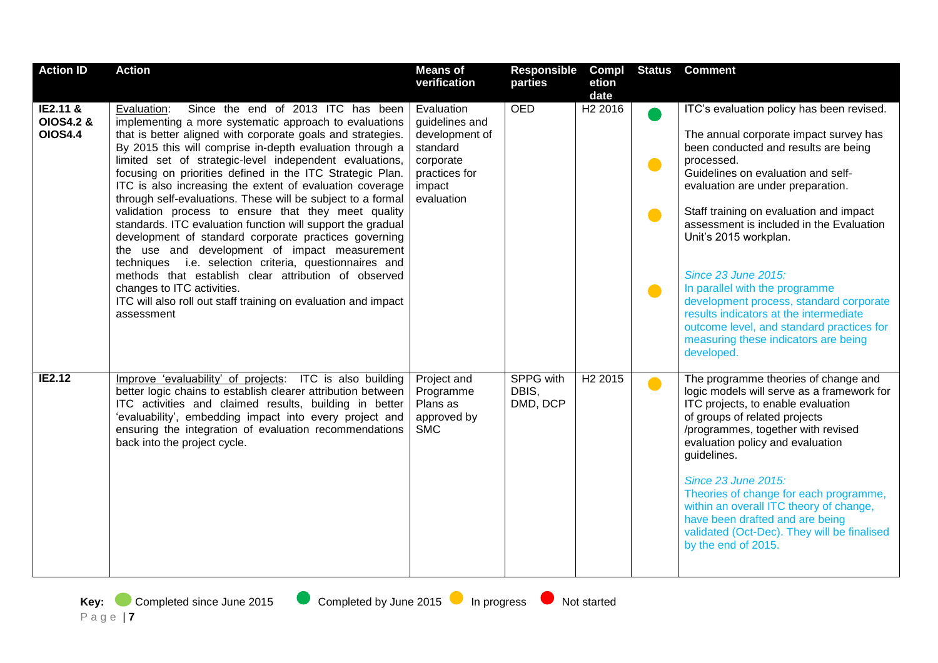| <b>Action ID</b>                                   | <b>Action</b>                                                                                                                                                                                                                                                                                                                                                                                                                                                                                                                                                                                                                                                                                                                                                                                                                                                                                                                                             | <b>Means of</b><br>verification                                                                                  | Responsible<br>parties                | Compl<br>etion<br>date |                                          | <b>Status</b> Comment                                                                                                                                                                                                                                                                                                                                                                                                                                                                                                                                                                 |
|----------------------------------------------------|-----------------------------------------------------------------------------------------------------------------------------------------------------------------------------------------------------------------------------------------------------------------------------------------------------------------------------------------------------------------------------------------------------------------------------------------------------------------------------------------------------------------------------------------------------------------------------------------------------------------------------------------------------------------------------------------------------------------------------------------------------------------------------------------------------------------------------------------------------------------------------------------------------------------------------------------------------------|------------------------------------------------------------------------------------------------------------------|---------------------------------------|------------------------|------------------------------------------|---------------------------------------------------------------------------------------------------------------------------------------------------------------------------------------------------------------------------------------------------------------------------------------------------------------------------------------------------------------------------------------------------------------------------------------------------------------------------------------------------------------------------------------------------------------------------------------|
| IE2.11 &<br><b>OIOS4.2 &amp;</b><br><b>OIOS4.4</b> | Since the end of 2013 ITC has been<br>Evaluation:<br>implementing a more systematic approach to evaluations<br>that is better aligned with corporate goals and strategies.<br>By 2015 this will comprise in-depth evaluation through a<br>limited set of strategic-level independent evaluations,<br>focusing on priorities defined in the ITC Strategic Plan.<br>ITC is also increasing the extent of evaluation coverage<br>through self-evaluations. These will be subject to a formal<br>validation process to ensure that they meet quality<br>standards. ITC evaluation function will support the gradual<br>development of standard corporate practices governing<br>the use and development of impact measurement<br>techniques i.e. selection criteria, questionnaires and<br>methods that establish clear attribution of observed<br>changes to ITC activities.<br>ITC will also roll out staff training on evaluation and impact<br>assessment | Evaluation<br>guidelines and<br>development of<br>standard<br>corporate<br>practices for<br>impact<br>evaluation | <b>OED</b>                            | H <sub>2</sub> 2016    | $\blacksquare$<br>$\bullet$<br>$\bullet$ | ITC's evaluation policy has been revised.<br>The annual corporate impact survey has<br>been conducted and results are being<br>processed.<br>Guidelines on evaluation and self-<br>evaluation are under preparation.<br>Staff training on evaluation and impact<br>assessment is included in the Evaluation<br>Unit's 2015 workplan.<br>Since 23 June 2015:<br>In parallel with the programme<br>development process, standard corporate<br>results indicators at the intermediate<br>outcome level, and standard practices for<br>measuring these indicators are being<br>developed. |
| IE2.12                                             | Improve 'evaluability' of projects: ITC is also building<br>better logic chains to establish clearer attribution between<br>ITC activities and claimed results, building in better<br>'evaluability', embedding impact into every project and<br>ensuring the integration of evaluation recommendations<br>back into the project cycle.                                                                                                                                                                                                                                                                                                                                                                                                                                                                                                                                                                                                                   | Project and<br>Programme<br>Plans as<br>approved by<br><b>SMC</b>                                                | <b>SPPG</b> with<br>DBIS,<br>DMD, DCP | H <sub>2</sub> 2015    | $\bullet$                                | The programme theories of change and<br>logic models will serve as a framework for<br>ITC projects, to enable evaluation<br>of groups of related projects<br>/programmes, together with revised<br>evaluation policy and evaluation<br>guidelines.<br><b>Since 23 June 2015:</b><br>Theories of change for each programme,<br>within an overall ITC theory of change,<br>have been drafted and are being<br>validated (Oct-Dec). They will be finalised<br>by the end of 2015.                                                                                                        |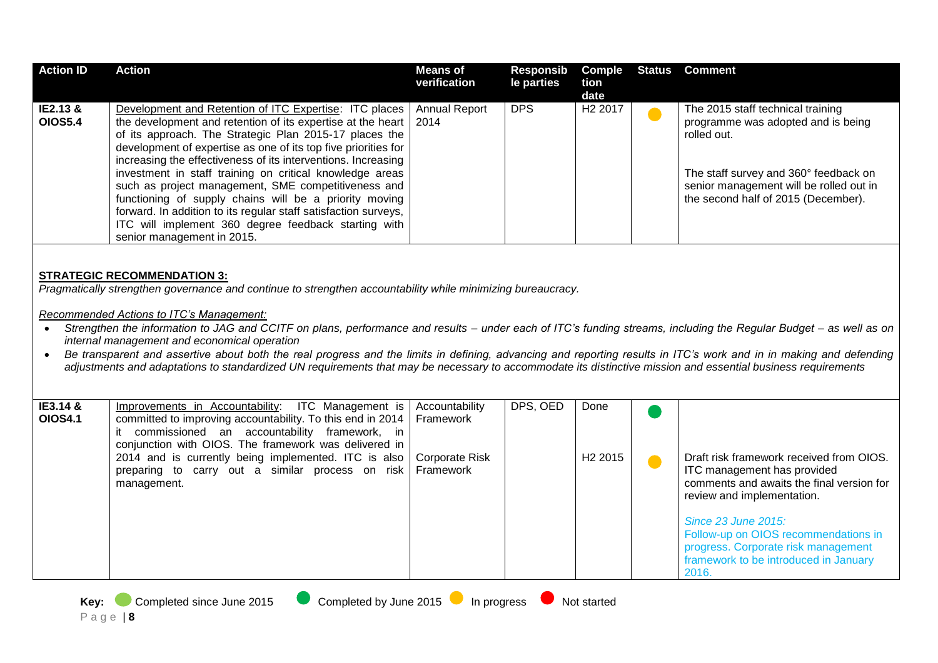| <b>Action ID</b>           | <b>Action</b>                                                                                                                                                                                                                                                                                                                                                                                                                                                                                                                                                                                                                                                                                                                                            | <b>Means of</b><br>verification                                   | <b>Responsib</b><br>le parties | Comple<br>tion<br>date      | <b>Status</b> | <b>Comment</b>                                                                                                                                                                                                                                                                                             |  |  |
|----------------------------|----------------------------------------------------------------------------------------------------------------------------------------------------------------------------------------------------------------------------------------------------------------------------------------------------------------------------------------------------------------------------------------------------------------------------------------------------------------------------------------------------------------------------------------------------------------------------------------------------------------------------------------------------------------------------------------------------------------------------------------------------------|-------------------------------------------------------------------|--------------------------------|-----------------------------|---------------|------------------------------------------------------------------------------------------------------------------------------------------------------------------------------------------------------------------------------------------------------------------------------------------------------------|--|--|
| IE2.13 &<br><b>OIOS5.4</b> | Development and Retention of ITC Expertise: ITC places<br>the development and retention of its expertise at the heart<br>of its approach. The Strategic Plan 2015-17 places the<br>development of expertise as one of its top five priorities for<br>increasing the effectiveness of its interventions. Increasing<br>investment in staff training on critical knowledge areas<br>such as project management, SME competitiveness and<br>functioning of supply chains will be a priority moving<br>forward. In addition to its regular staff satisfaction surveys,<br>ITC will implement 360 degree feedback starting with<br>senior management in 2015.                                                                                                 | <b>Annual Report</b><br>2014                                      | <b>DPS</b>                     | H <sub>2</sub> 2017         |               | The 2015 staff technical training<br>programme was adopted and is being<br>rolled out.<br>The staff survey and 360° feedback on<br>senior management will be rolled out in<br>the second half of 2015 (December).                                                                                          |  |  |
|                            | <b>STRATEGIC RECOMMENDATION 3:</b><br>Pragmatically strengthen governance and continue to strengthen accountability while minimizing bureaucracy.<br>Recommended Actions to ITC's Management:<br>Strengthen the information to JAG and CCITF on plans, performance and results - under each of ITC's funding streams, including the Regular Budget - as well as on<br>internal management and economical operation<br>Be transparent and assertive about both the real progress and the limits in defining, advancing and reporting results in ITC's work and in in making and defending<br>adjustments and adaptations to standardized UN requirements that may be necessary to accommodate its distinctive mission and essential business requirements |                                                                   |                                |                             |               |                                                                                                                                                                                                                                                                                                            |  |  |
| IE3.14 &<br><b>OIOS4.1</b> | Improvements in Accountability:<br>ITC Management is<br>committed to improving accountability. To this end in 2014<br>it commissioned an accountability framework, in<br>conjunction with OIOS. The framework was delivered in<br>2014 and is currently being implemented. ITC is also<br>preparing to carry out a similar process on risk<br>management.                                                                                                                                                                                                                                                                                                                                                                                                | Accountability<br>Framework<br><b>Corporate Risk</b><br>Framework | DPS, OED                       | Done<br>H <sub>2</sub> 2015 |               | Draft risk framework received from OIOS.<br>ITC management has provided<br>comments and awaits the final version for<br>review and implementation.<br>Since 23 June 2015:<br>Follow-up on OIOS recommendations in<br>progress. Corporate risk management<br>framework to be introduced in January<br>2016. |  |  |
| Key:                       | Completed by June 2015<br>Completed since June 2015                                                                                                                                                                                                                                                                                                                                                                                                                                                                                                                                                                                                                                                                                                      | In progress                                                       |                                | Not started                 |               |                                                                                                                                                                                                                                                                                                            |  |  |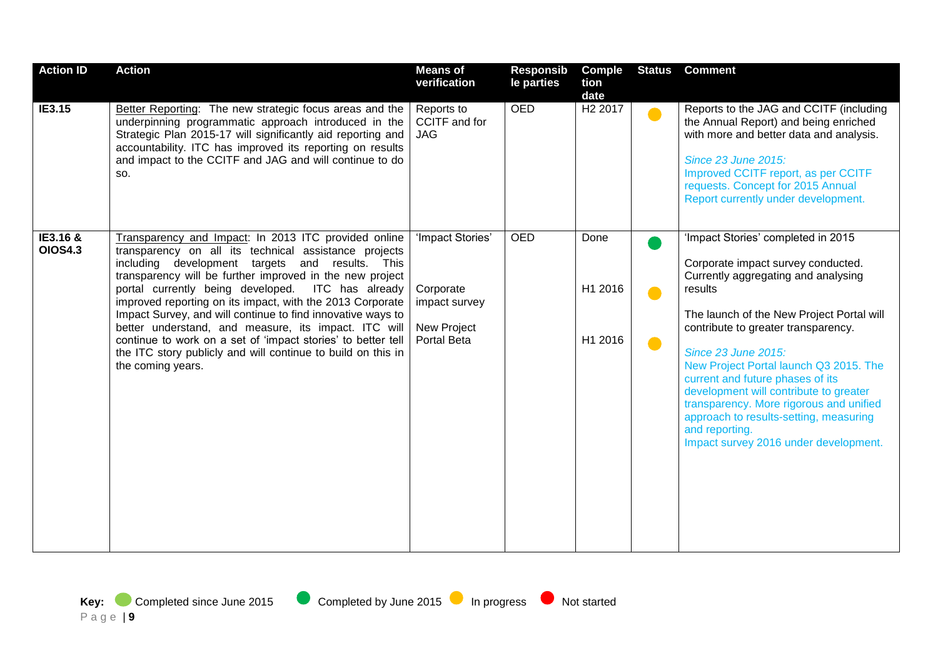| <b>Action ID</b>           | <b>Action</b>                                                                                                                                                                                                                                                                                                                                                                                                                                                                                                                                                                                                              | <b>Means of</b><br>verification                                              | <b>Responsib</b><br>le parties | <b>Comple</b><br>tion<br>date | <b>Status</b> | <b>Comment</b>                                                                                                                                                                                                                                                                                                                                                                                                                                                                                                       |
|----------------------------|----------------------------------------------------------------------------------------------------------------------------------------------------------------------------------------------------------------------------------------------------------------------------------------------------------------------------------------------------------------------------------------------------------------------------------------------------------------------------------------------------------------------------------------------------------------------------------------------------------------------------|------------------------------------------------------------------------------|--------------------------------|-------------------------------|---------------|----------------------------------------------------------------------------------------------------------------------------------------------------------------------------------------------------------------------------------------------------------------------------------------------------------------------------------------------------------------------------------------------------------------------------------------------------------------------------------------------------------------------|
| IE3.15                     | Better Reporting: The new strategic focus areas and the<br>underpinning programmatic approach introduced in the<br>Strategic Plan 2015-17 will significantly aid reporting and<br>accountability. ITC has improved its reporting on results<br>and impact to the CCITF and JAG and will continue to do<br>SO.                                                                                                                                                                                                                                                                                                              | Reports to<br>CCITF and for<br><b>JAG</b>                                    | <b>OED</b>                     | H <sub>2</sub> 2017           |               | Reports to the JAG and CCITF (including<br>the Annual Report) and being enriched<br>with more and better data and analysis.<br><b>Since 23 June 2015:</b><br>Improved CCITF report, as per CCITF<br>requests. Concept for 2015 Annual<br>Report currently under development.                                                                                                                                                                                                                                         |
| IE3.16 &<br><b>OIOS4.3</b> | Transparency and Impact: In 2013 ITC provided online<br>transparency on all its technical assistance projects<br>including development targets and results. This<br>transparency will be further improved in the new project<br>portal currently being developed. ITC has already<br>improved reporting on its impact, with the 2013 Corporate<br>Impact Survey, and will continue to find innovative ways to<br>better understand, and measure, its impact. ITC will<br>continue to work on a set of 'impact stories' to better tell<br>the ITC story publicly and will continue to build on this in<br>the coming years. | 'Impact Stories'<br>Corporate<br>impact survey<br>New Project<br>Portal Beta | <b>OED</b>                     | Done<br>H1 2016<br>H1 2016    | $\bullet$     | 'Impact Stories' completed in 2015<br>Corporate impact survey conducted.<br>Currently aggregating and analysing<br>results<br>The launch of the New Project Portal will<br>contribute to greater transparency.<br><b>Since 23 June 2015:</b><br>New Project Portal launch Q3 2015. The<br>current and future phases of its<br>development will contribute to greater<br>transparency. More rigorous and unified<br>approach to results-setting, measuring<br>and reporting.<br>Impact survey 2016 under development. |

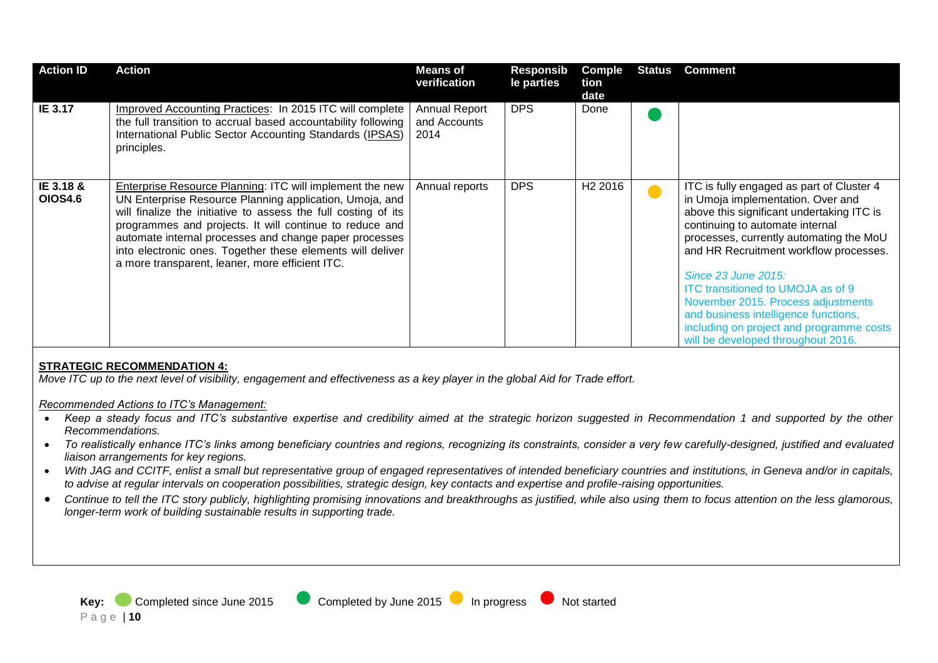| <b>Action ID</b>            | <b>Action</b>                                                                                                                                                                                                                                                                                                                                                                                                                      | <b>Means of</b><br>verification              | Responsib<br>le parties | <b>Comple</b><br>tion<br>date | <b>Status</b> | <b>Comment</b>                                                                                                                                                                                                                                                                                                                                                                                                                                                                         |
|-----------------------------|------------------------------------------------------------------------------------------------------------------------------------------------------------------------------------------------------------------------------------------------------------------------------------------------------------------------------------------------------------------------------------------------------------------------------------|----------------------------------------------|-------------------------|-------------------------------|---------------|----------------------------------------------------------------------------------------------------------------------------------------------------------------------------------------------------------------------------------------------------------------------------------------------------------------------------------------------------------------------------------------------------------------------------------------------------------------------------------------|
| IE 3.17                     | Improved Accounting Practices: In 2015 ITC will complete<br>the full transition to accrual based accountability following<br>International Public Sector Accounting Standards (IPSAS)<br>principles.                                                                                                                                                                                                                               | <b>Annual Report</b><br>and Accounts<br>2014 | <b>DPS</b>              | Done                          |               |                                                                                                                                                                                                                                                                                                                                                                                                                                                                                        |
| IE 3.18 &<br><b>OIOS4.6</b> | <b>Enterprise Resource Planning: ITC will implement the new</b><br>UN Enterprise Resource Planning application, Umoja, and<br>will finalize the initiative to assess the full costing of its<br>programmes and projects. It will continue to reduce and<br>automate internal processes and change paper processes<br>into electronic ones. Together these elements will deliver<br>a more transparent, leaner, more efficient ITC. | Annual reports                               | <b>DPS</b>              | H <sub>2</sub> 2016           |               | ITC is fully engaged as part of Cluster 4<br>in Umoja implementation. Over and<br>above this significant undertaking ITC is<br>continuing to automate internal<br>processes, currently automating the MoU<br>and HR Recruitment workflow processes.<br>Since 23 June 2015:<br><b>ITC transitioned to UMOJA as of 9</b><br>November 2015. Process adjustments<br>and business intelligence functions,<br>including on project and programme costs<br>will be developed throughout 2016. |

#### **STRATEGIC RECOMMENDATION 4:**

*Move ITC up to the next level of visibility, engagement and effectiveness as a key player in the global Aid for Trade effort.*

#### *Recommended Actions to ITC's Management:*

- *Keep a steady focus and ITC's substantive expertise and credibility aimed at the strategic horizon suggested in Recommendation 1 and supported by the other Recommendations.*
- *To realistically enhance ITC's links among beneficiary countries and regions, recognizing its constraints, consider a very few carefully-designed, justified and evaluated liaison arrangements for key regions.*
- With JAG and CCITF, enlist a small but representative group of engaged representatives of intended beneficiary countries and institutions, in Geneva and/or in capitals, *to advise at regular intervals on cooperation possibilities, strategic design, key contacts and expertise and profile-raising opportunities.*
- *Continue to tell the ITC story publicly, highlighting promising innovations and breakthroughs as justified, while also using them to focus attention on the less glamorous, longer-term work of building sustainable results in supporting trade.*

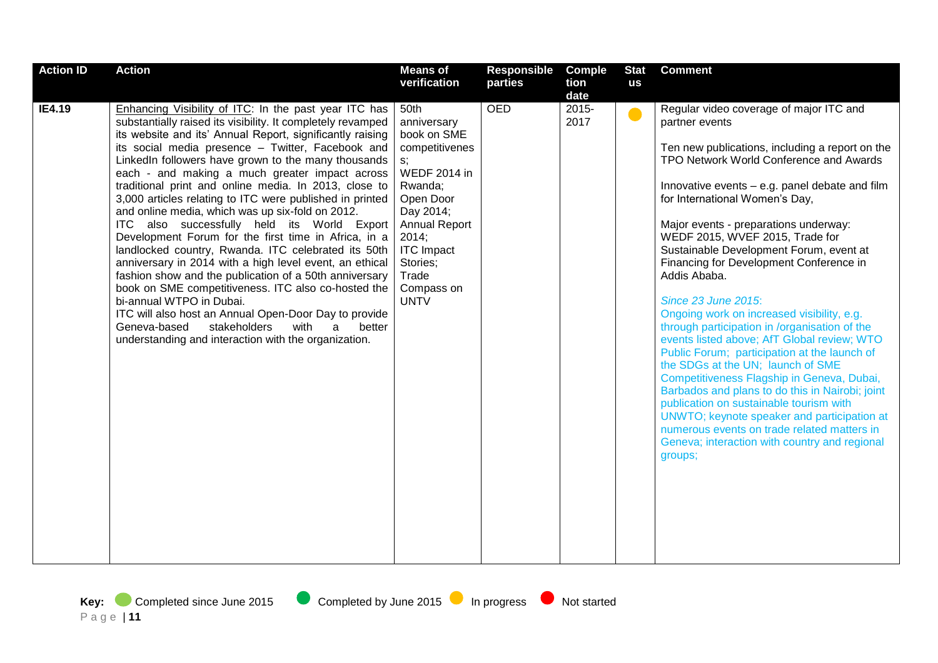| <b>Action ID</b> | <b>Action</b>                                                                                                                                                                                                                                                                                                                                                                                                                                                                                                                                                                                                                                                                                                                                                                                                                                                                                                                                                                                                                                                          | <b>Means of</b>                                                                                                                                                                                                                | <b>Responsible</b> | <b>Comple</b>    | <b>Stat</b> | <b>Comment</b>                                                                                                                                                                                                                                                                                                                                                                                                                                                                                                                                                                                                                                                                                                                                                                                                                                                                                                                                                                                       |
|------------------|------------------------------------------------------------------------------------------------------------------------------------------------------------------------------------------------------------------------------------------------------------------------------------------------------------------------------------------------------------------------------------------------------------------------------------------------------------------------------------------------------------------------------------------------------------------------------------------------------------------------------------------------------------------------------------------------------------------------------------------------------------------------------------------------------------------------------------------------------------------------------------------------------------------------------------------------------------------------------------------------------------------------------------------------------------------------|--------------------------------------------------------------------------------------------------------------------------------------------------------------------------------------------------------------------------------|--------------------|------------------|-------------|------------------------------------------------------------------------------------------------------------------------------------------------------------------------------------------------------------------------------------------------------------------------------------------------------------------------------------------------------------------------------------------------------------------------------------------------------------------------------------------------------------------------------------------------------------------------------------------------------------------------------------------------------------------------------------------------------------------------------------------------------------------------------------------------------------------------------------------------------------------------------------------------------------------------------------------------------------------------------------------------------|
|                  |                                                                                                                                                                                                                                                                                                                                                                                                                                                                                                                                                                                                                                                                                                                                                                                                                                                                                                                                                                                                                                                                        | verification                                                                                                                                                                                                                   | parties            | tion<br>date     | us          |                                                                                                                                                                                                                                                                                                                                                                                                                                                                                                                                                                                                                                                                                                                                                                                                                                                                                                                                                                                                      |
| <b>IE4.19</b>    | Enhancing Visibility of ITC: In the past year ITC has<br>substantially raised its visibility. It completely revamped<br>its website and its' Annual Report, significantly raising<br>its social media presence - Twitter, Facebook and<br>LinkedIn followers have grown to the many thousands<br>each - and making a much greater impact across<br>traditional print and online media. In 2013, close to<br>3,000 articles relating to ITC were published in printed<br>and online media, which was up six-fold on 2012.<br>ITC also successfully held its World Export<br>Development Forum for the first time in Africa, in a<br>landlocked country, Rwanda. ITC celebrated its 50th<br>anniversary in 2014 with a high level event, an ethical<br>fashion show and the publication of a 50th anniversary<br>book on SME competitiveness. ITC also co-hosted the<br>bi-annual WTPO in Dubai.<br>ITC will also host an Annual Open-Door Day to provide<br>Geneva-based<br>stakeholders<br>with<br>better<br>a<br>understanding and interaction with the organization. | 50th<br>anniversary<br>book on SME<br>competitivenes<br>s;<br><b>WEDF 2014 in</b><br>Rwanda;<br>Open Door<br>Day 2014;<br><b>Annual Report</b><br>2014;<br><b>ITC</b> Impact<br>Stories;<br>Trade<br>Compass on<br><b>UNTV</b> | <b>OED</b>         | $2015 -$<br>2017 |             | Regular video coverage of major ITC and<br>partner events<br>Ten new publications, including a report on the<br>TPO Network World Conference and Awards<br>Innovative events - e.g. panel debate and film<br>for International Women's Day,<br>Major events - preparations underway:<br>WEDF 2015, WVEF 2015, Trade for<br>Sustainable Development Forum, event at<br>Financing for Development Conference in<br>Addis Ababa.<br><b>Since 23 June 2015:</b><br>Ongoing work on increased visibility, e.g.<br>through participation in /organisation of the<br>events listed above; AfT Global review; WTO<br>Public Forum; participation at the launch of<br>the SDGs at the UN; launch of SME<br>Competitiveness Flagship in Geneva, Dubai,<br>Barbados and plans to do this in Nairobi; joint<br>publication on sustainable tourism with<br>UNWTO; keynote speaker and participation at<br>numerous events on trade related matters in<br>Geneva; interaction with country and regional<br>groups; |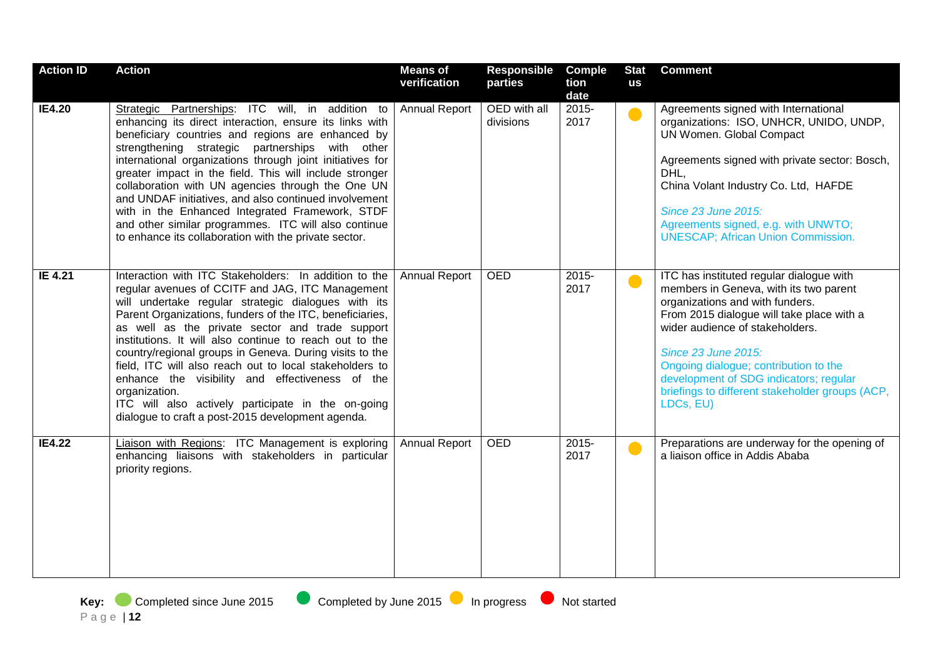| <b>Action ID</b> | <b>Action</b>                                                                                                                                                                                                                                                                                                                                                                                                                                                                                                                                                                                                                                   | <b>Means of</b><br>verification | Responsible<br>parties    | <b>Comple</b><br>tion<br>date | <b>Stat</b><br>us | <b>Comment</b>                                                                                                                                                                                                                                                                                                                                                                  |
|------------------|-------------------------------------------------------------------------------------------------------------------------------------------------------------------------------------------------------------------------------------------------------------------------------------------------------------------------------------------------------------------------------------------------------------------------------------------------------------------------------------------------------------------------------------------------------------------------------------------------------------------------------------------------|---------------------------------|---------------------------|-------------------------------|-------------------|---------------------------------------------------------------------------------------------------------------------------------------------------------------------------------------------------------------------------------------------------------------------------------------------------------------------------------------------------------------------------------|
| <b>IE4.20</b>    | Strategic Partnerships: ITC will, in addition to<br>enhancing its direct interaction, ensure its links with<br>beneficiary countries and regions are enhanced by<br>strengthening strategic partnerships with other<br>international organizations through joint initiatives for<br>greater impact in the field. This will include stronger<br>collaboration with UN agencies through the One UN<br>and UNDAF initiatives, and also continued involvement<br>with in the Enhanced Integrated Framework, STDF<br>and other similar programmes. ITC will also continue<br>to enhance its collaboration with the private sector.                   | <b>Annual Report</b>            | OED with all<br>divisions | $2015 -$<br>2017              | $\bullet$         | Agreements signed with International<br>organizations: ISO, UNHCR, UNIDO, UNDP,<br>UN Women. Global Compact<br>Agreements signed with private sector: Bosch,<br>DHL,<br>China Volant Industry Co. Ltd, HAFDE<br>Since 23 June 2015:<br>Agreements signed, e.g. with UNWTO;<br><b>UNESCAP; African Union Commission.</b>                                                         |
| IE 4.21          | Interaction with ITC Stakeholders: In addition to the<br>regular avenues of CCITF and JAG, ITC Management<br>will undertake regular strategic dialogues with its<br>Parent Organizations, funders of the ITC, beneficiaries,<br>as well as the private sector and trade support<br>institutions. It will also continue to reach out to the<br>country/regional groups in Geneva. During visits to the<br>field, ITC will also reach out to local stakeholders to<br>enhance the visibility and effectiveness of the<br>organization.<br>ITC will also actively participate in the on-going<br>dialogue to craft a post-2015 development agenda. | <b>Annual Report</b>            | <b>OED</b>                | $2015 -$<br>2017              | $\bullet$         | ITC has instituted regular dialogue with<br>members in Geneva, with its two parent<br>organizations and with funders.<br>From 2015 dialogue will take place with a<br>wider audience of stakeholders.<br>Since 23 June 2015:<br>Ongoing dialogue; contribution to the<br>development of SDG indicators; regular<br>briefings to different stakeholder groups (ACP,<br>LDCs, EU) |
| <b>IE4.22</b>    | Liaison with Regions: ITC Management is exploring<br>enhancing liaisons with stakeholders in particular<br>priority regions.                                                                                                                                                                                                                                                                                                                                                                                                                                                                                                                    | <b>Annual Report</b>            | OED                       | $2015 -$<br>2017              |                   | Preparations are underway for the opening of<br>a liaison office in Addis Ababa                                                                                                                                                                                                                                                                                                 |

**Key:** Completed since June 2015 Completed by June 2015 In progress Not started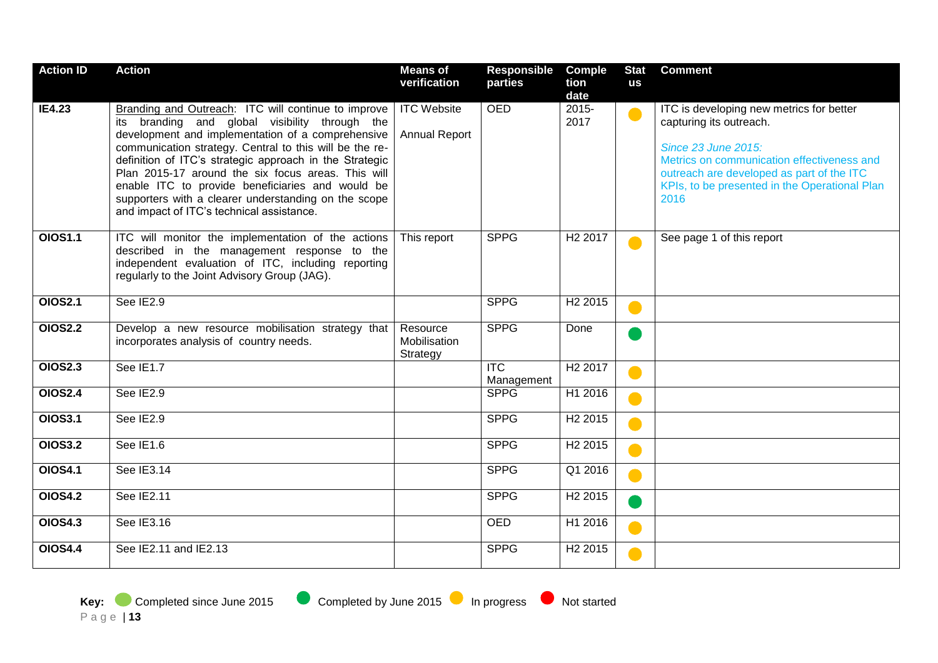| <b>Action ID</b> | <b>Action</b>                                                                                                                                                                                                                                                                                                                                                                                                                                                                                   | <b>Means of</b><br>verification            | <b>Responsible</b><br>parties         | <b>Comple</b><br>tion | <b>Stat</b><br><b>us</b> | <b>Comment</b>                                                                                                                                                                                                                                        |
|------------------|-------------------------------------------------------------------------------------------------------------------------------------------------------------------------------------------------------------------------------------------------------------------------------------------------------------------------------------------------------------------------------------------------------------------------------------------------------------------------------------------------|--------------------------------------------|---------------------------------------|-----------------------|--------------------------|-------------------------------------------------------------------------------------------------------------------------------------------------------------------------------------------------------------------------------------------------------|
|                  |                                                                                                                                                                                                                                                                                                                                                                                                                                                                                                 |                                            |                                       | date                  |                          |                                                                                                                                                                                                                                                       |
| <b>IE4.23</b>    | Branding and Outreach: ITC will continue to improve<br>its branding and global visibility through the<br>development and implementation of a comprehensive<br>communication strategy. Central to this will be the re-<br>definition of ITC's strategic approach in the Strategic<br>Plan 2015-17 around the six focus areas. This will<br>enable ITC to provide beneficiaries and would be<br>supporters with a clearer understanding on the scope<br>and impact of ITC's technical assistance. | <b>ITC Website</b><br><b>Annual Report</b> | <b>OED</b>                            | 2015-<br>2017         | $\bullet$                | ITC is developing new metrics for better<br>capturing its outreach.<br><b>Since 23 June 2015:</b><br>Metrics on communication effectiveness and<br>outreach are developed as part of the ITC<br>KPIs, to be presented in the Operational Plan<br>2016 |
| <b>OIOS1.1</b>   | ITC will monitor the implementation of the actions<br>described in the management response to the<br>independent evaluation of ITC, including reporting<br>regularly to the Joint Advisory Group (JAG).                                                                                                                                                                                                                                                                                         | This report                                | <b>SPPG</b>                           | H <sub>2</sub> 2017   |                          | See page 1 of this report                                                                                                                                                                                                                             |
| <b>OIOS2.1</b>   | See IE2.9                                                                                                                                                                                                                                                                                                                                                                                                                                                                                       |                                            | <b>SPPG</b>                           | H <sub>2</sub> 2015   |                          |                                                                                                                                                                                                                                                       |
| <b>OIOS2.2</b>   | Develop a new resource mobilisation strategy that<br>incorporates analysis of country needs.                                                                                                                                                                                                                                                                                                                                                                                                    | Resource<br>Mobilisation<br>Strategy       | <b>SPPG</b>                           | Done                  |                          |                                                                                                                                                                                                                                                       |
| <b>OIOS2.3</b>   | See IE1.7                                                                                                                                                                                                                                                                                                                                                                                                                                                                                       |                                            | $\overline{\text{ITC}}$<br>Management | H <sub>2</sub> 2017   |                          |                                                                                                                                                                                                                                                       |
| <b>OIOS2.4</b>   | See IE2.9                                                                                                                                                                                                                                                                                                                                                                                                                                                                                       |                                            | <b>SPPG</b>                           | H1 2016               |                          |                                                                                                                                                                                                                                                       |
| <b>OIOS3.1</b>   | See IE2.9                                                                                                                                                                                                                                                                                                                                                                                                                                                                                       |                                            | <b>SPPG</b>                           | H <sub>2</sub> 2015   |                          |                                                                                                                                                                                                                                                       |
| <b>OIOS3.2</b>   | See IE1.6                                                                                                                                                                                                                                                                                                                                                                                                                                                                                       |                                            | <b>SPPG</b>                           | H <sub>2</sub> 2015   |                          |                                                                                                                                                                                                                                                       |
| <b>OIOS4.1</b>   | See IE3.14                                                                                                                                                                                                                                                                                                                                                                                                                                                                                      |                                            | <b>SPPG</b>                           | Q1 2016               |                          |                                                                                                                                                                                                                                                       |
| <b>OIOS4.2</b>   | See IE2.11                                                                                                                                                                                                                                                                                                                                                                                                                                                                                      |                                            | <b>SPPG</b>                           | H <sub>2</sub> 2015   |                          |                                                                                                                                                                                                                                                       |
| <b>OIOS4.3</b>   | See IE3.16                                                                                                                                                                                                                                                                                                                                                                                                                                                                                      |                                            | <b>OED</b>                            | H1 2016               |                          |                                                                                                                                                                                                                                                       |
| <b>OIOS4.4</b>   | See IE2.11 and IE2.13                                                                                                                                                                                                                                                                                                                                                                                                                                                                           |                                            | <b>SPPG</b>                           | H <sub>2</sub> 2015   |                          |                                                                                                                                                                                                                                                       |

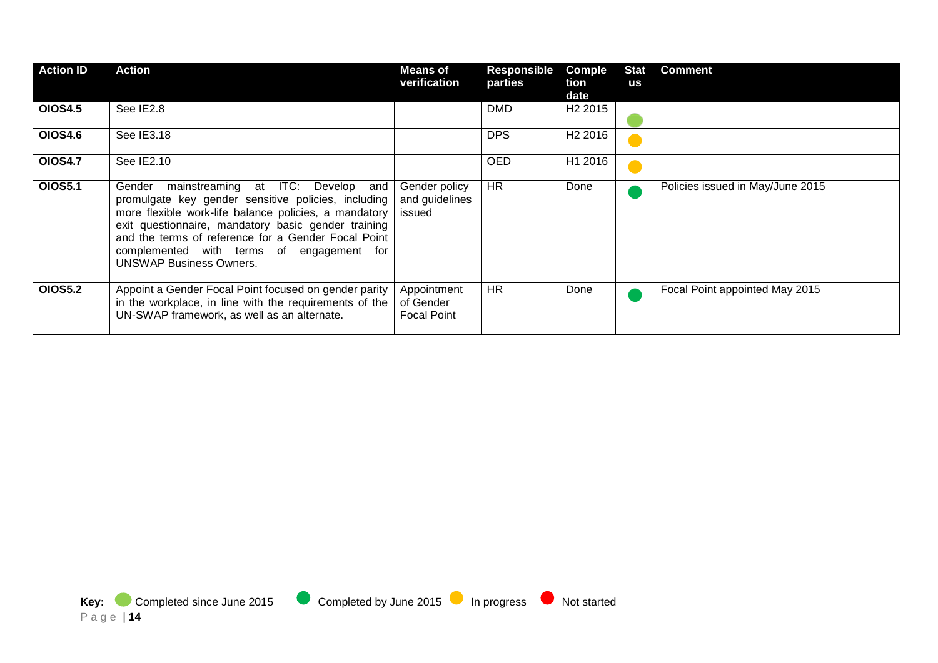| <b>Action ID</b> | Action                                                                                                                                                                                                                                                                                                                                                         | Means of<br>verification                       | Responsible<br>parties | Comple<br>tion<br>date | <b>Stat</b><br><b>us</b> | <b>Comment</b>                   |
|------------------|----------------------------------------------------------------------------------------------------------------------------------------------------------------------------------------------------------------------------------------------------------------------------------------------------------------------------------------------------------------|------------------------------------------------|------------------------|------------------------|--------------------------|----------------------------------|
| <b>OIOS4.5</b>   | See IE2.8                                                                                                                                                                                                                                                                                                                                                      |                                                | <b>DMD</b>             | H <sub>2</sub> 2015    |                          |                                  |
| <b>OIOS4.6</b>   | See IE3.18                                                                                                                                                                                                                                                                                                                                                     |                                                | <b>DPS</b>             | H <sub>2</sub> 2016    |                          |                                  |
| <b>OIOS4.7</b>   | See IE2.10                                                                                                                                                                                                                                                                                                                                                     |                                                | OED                    | H1 2016                |                          |                                  |
| <b>OIOS5.1</b>   | mainstreaming at ITC:<br>Gender<br>Develop<br>and<br>promulgate key gender sensitive policies, including<br>more flexible work-life balance policies, a mandatory<br>exit questionnaire, mandatory basic gender training<br>and the terms of reference for a Gender Focal Point<br>complemented with terms of engagement for<br><b>UNSWAP Business Owners.</b> | Gender policy<br>and guidelines<br>issued      | <b>HR</b>              | Done                   |                          | Policies issued in May/June 2015 |
| <b>OIOS5.2</b>   | Appoint a Gender Focal Point focused on gender parity<br>in the workplace, in line with the requirements of the<br>UN-SWAP framework, as well as an alternate.                                                                                                                                                                                                 | Appointment<br>of Gender<br><b>Focal Point</b> | <b>HR</b>              | Done                   |                          | Focal Point appointed May 2015   |



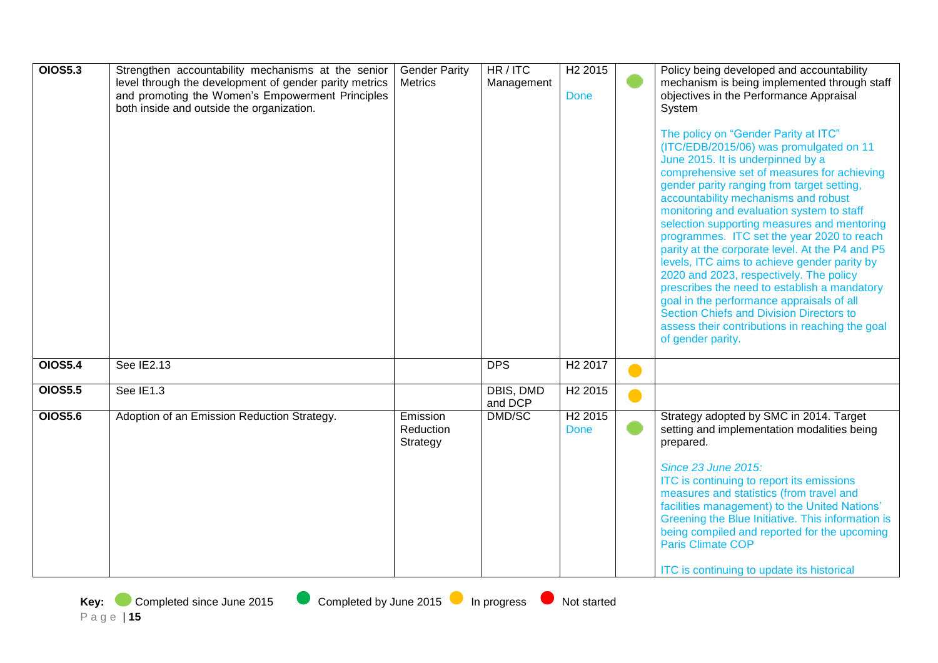| <b>OIOS5.3</b> | Strengthen accountability mechanisms at the senior<br>level through the development of gender parity metrics<br>and promoting the Women's Empowerment Principles<br>both inside and outside the organization. | <b>Gender Parity</b><br><b>Metrics</b> | HR/ITC<br>Management | H <sub>2</sub> 2015<br><b>Done</b> |           | Policy being developed and accountability<br>mechanism is being implemented through staff<br>objectives in the Performance Appraisal<br>System<br>The policy on "Gender Parity at ITC"<br>(ITC/EDB/2015/06) was promulgated on 11<br>June 2015. It is underpinned by a<br>comprehensive set of measures for achieving<br>gender parity ranging from target setting,<br>accountability mechanisms and robust<br>monitoring and evaluation system to staff<br>selection supporting measures and mentoring<br>programmes. ITC set the year 2020 to reach<br>parity at the corporate level. At the P4 and P5<br>levels, ITC aims to achieve gender parity by<br>2020 and 2023, respectively. The policy<br>prescribes the need to establish a mandatory<br>goal in the performance appraisals of all<br>Section Chiefs and Division Directors to<br>assess their contributions in reaching the goal<br>of gender parity. |
|----------------|---------------------------------------------------------------------------------------------------------------------------------------------------------------------------------------------------------------|----------------------------------------|----------------------|------------------------------------|-----------|----------------------------------------------------------------------------------------------------------------------------------------------------------------------------------------------------------------------------------------------------------------------------------------------------------------------------------------------------------------------------------------------------------------------------------------------------------------------------------------------------------------------------------------------------------------------------------------------------------------------------------------------------------------------------------------------------------------------------------------------------------------------------------------------------------------------------------------------------------------------------------------------------------------------|
| <b>OIOS5.4</b> | See IE2.13                                                                                                                                                                                                    |                                        | <b>DPS</b>           | H <sub>2</sub> 2017                |           |                                                                                                                                                                                                                                                                                                                                                                                                                                                                                                                                                                                                                                                                                                                                                                                                                                                                                                                      |
| <b>OIOS5.5</b> | See IE1.3                                                                                                                                                                                                     |                                        | DBIS, DMD<br>and DCP | H2 2015                            | $\bullet$ |                                                                                                                                                                                                                                                                                                                                                                                                                                                                                                                                                                                                                                                                                                                                                                                                                                                                                                                      |
| <b>OIOS5.6</b> | Adoption of an Emission Reduction Strategy.                                                                                                                                                                   | Emission<br>Reduction<br>Strategy      | DMD/SC               | H <sub>2</sub> 2015<br><b>Done</b> |           | Strategy adopted by SMC in 2014. Target<br>setting and implementation modalities being<br>prepared.<br><b>Since 23 June 2015:</b><br>ITC is continuing to report its emissions<br>measures and statistics (from travel and<br>facilities management) to the United Nations'<br>Greening the Blue Initiative. This information is<br>being compiled and reported for the upcoming<br><b>Paris Climate COP</b><br>ITC is continuing to update its historical                                                                                                                                                                                                                                                                                                                                                                                                                                                           |